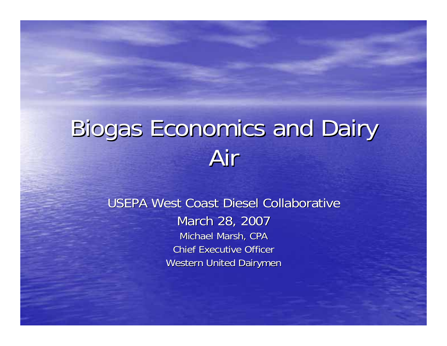## Biogas Economics and Dairy Air

USEPA West Coast Diesel Collaborative March 28, 2007 Michael Marsh, CPA Chief Executive Officer Western United Dairymen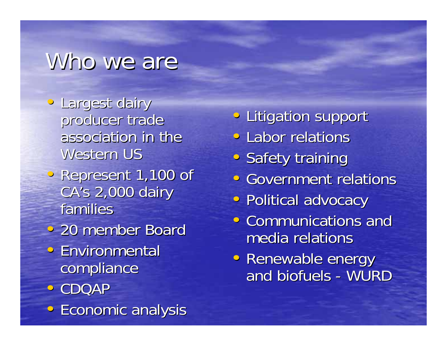#### Who we are

- Largest dairy producer trade association in the Western US
- Represent 1,100 of CA's 2,000 dairy families
- 20 member Board
- Environmental compliance
- CDQAP
- Economic analysis Economic analysis
- Litigation support
- Labor relations
- Safety training
- Government relations
- Political advocacy
- Communications and media relations
- Renewable energy and biofuels - WURD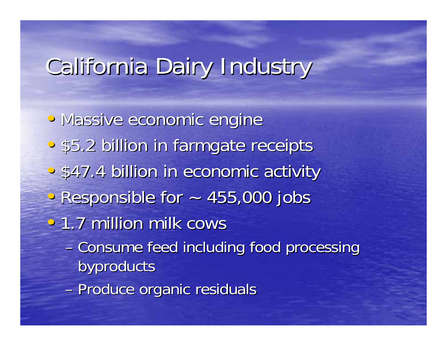### California Dairy Industry California Dairy Industry

• Massive economic engine • \$5.2 billion in farmgate receipts • \$47.4 billion in economic activity  $\cdot$  Responsible for  $\sim$  455,000 jobs  $\cdot$  1.7 million milk cows –- Consume feed including food processing byproducts byproducts – Produce organic residuals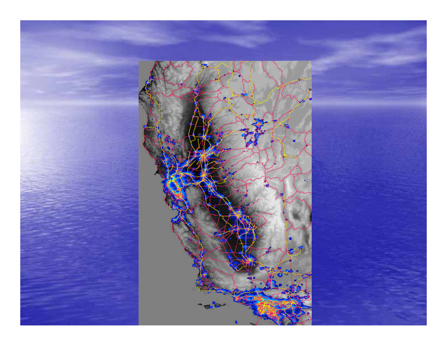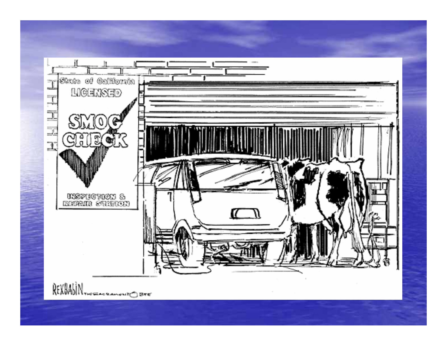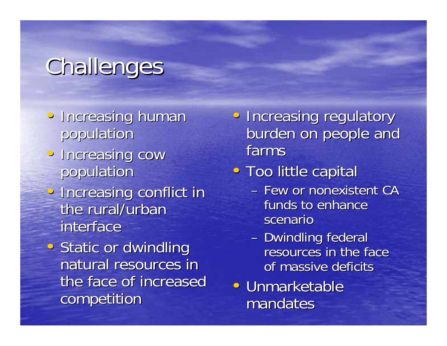## Challenges

- Increasing human population
- Increasing cow population
- Increasing conflict in the rural/urban interface
- Static or dwindling natural resources in the face of increased competition competition mandates
- Increasing regulatory burden on people and farms
- Too little capital
	- Few or nonexistent CA funds to enhance scenario
	- Dwindling federal resources in the face of massive deficits
- Unmarketable mandates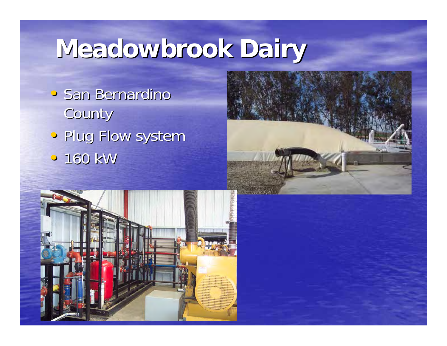# **Meadowbrook Dairy Meadowbrook Dairy**

- San Bernardino County
- Plug Flow system
- 160 kW



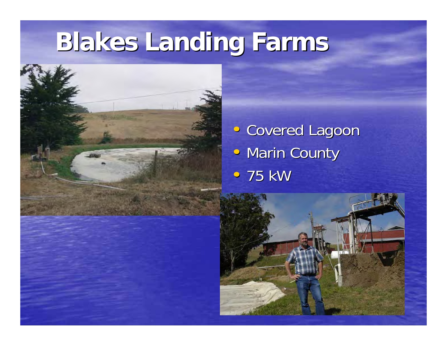# **Blakes Landing Farms Blakes Landing Farms**



• Covered Lagoon • Marin County • 75 kW

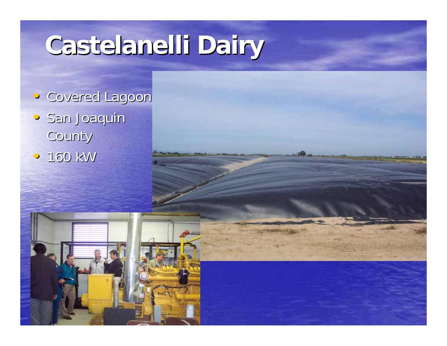# **Castelanelli Dairy Castelanelli Dairy**

- Covered Lagoon
- San Joaquin County
- 160 kW

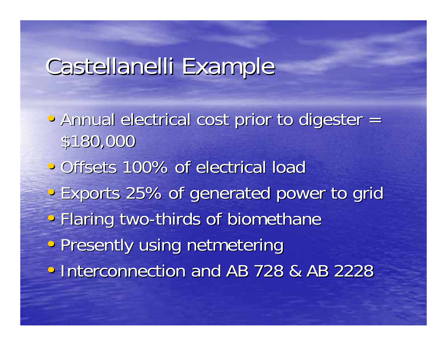#### Castellanelli Example

- Annual electrical cost prior to digester = \$180,000
- Offsets 100% of electrical load
- Exports 25% of generated power to grid
- Flaring two-thirds of biomethane
- Presently using netmetering
- Interconnection and AB 728 & AB 2228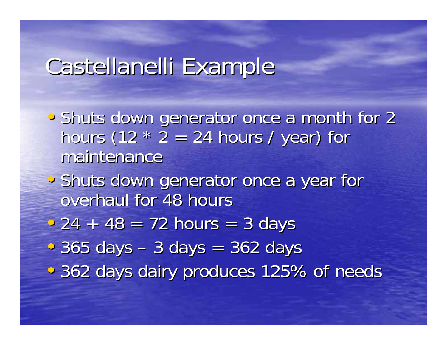#### Castellanelli Example

- Shuts down generator once a month for 2 hours (12  $*$  2 = 24 hours / year) for maintenance
- Shuts down generator once a year for overhaul for 48 hours
- 24 + 48 = 72 hours = 3 days
- $\cdot$  365 days 3 days = 362 days
- 362 days dairy produces 125% of needs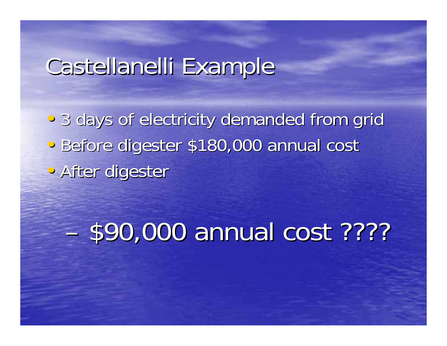#### Castellanelli Example

• 3 days of electricity demanded from grid 3 days of electricity demanded from grid • Before digester \$180,000 annual cost • After digester

= \$90,000 annual cost ????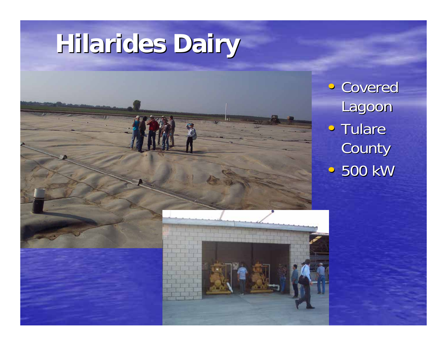# **Hilarides Dairy Hilarides Dairy**



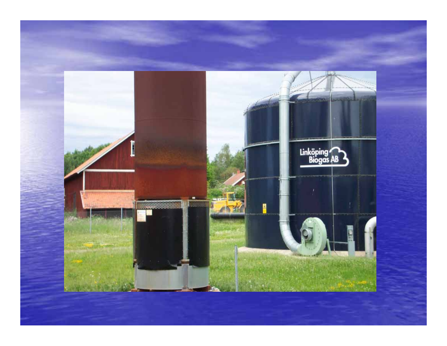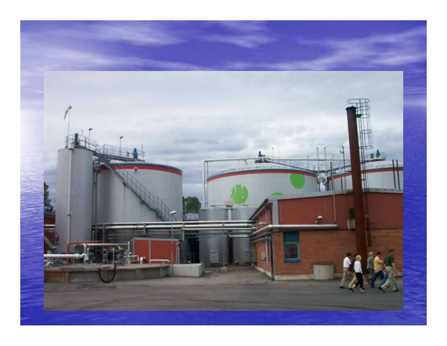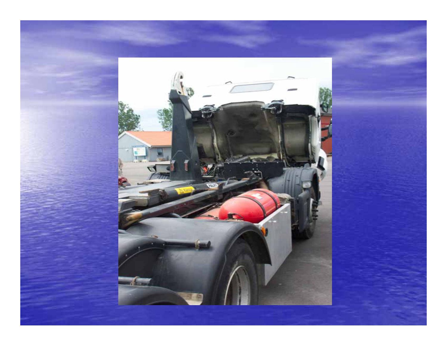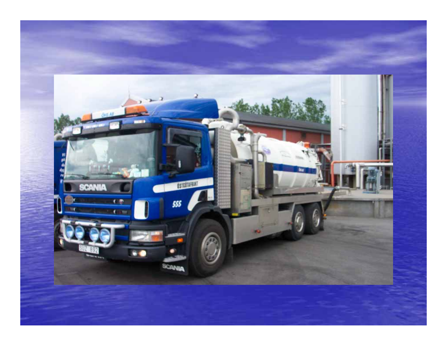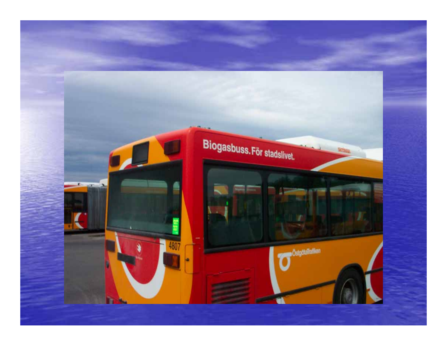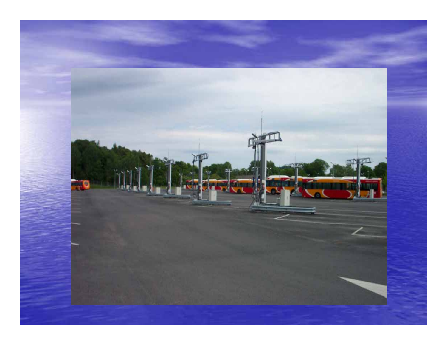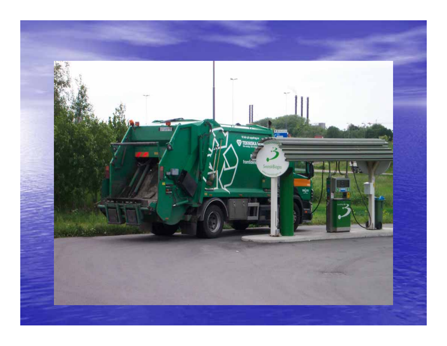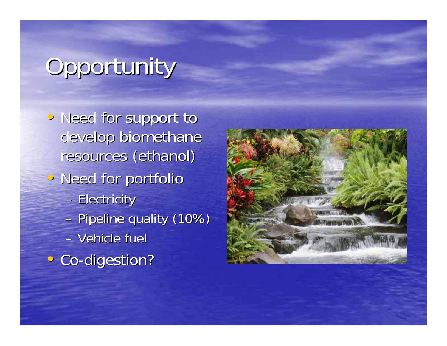# Opportunity

• Need for support to develop biomethane resources (ethanol) • Need for portfolio – Electricity - Pipeline quality (10%) – Vehicle fuel • Co-digestion?

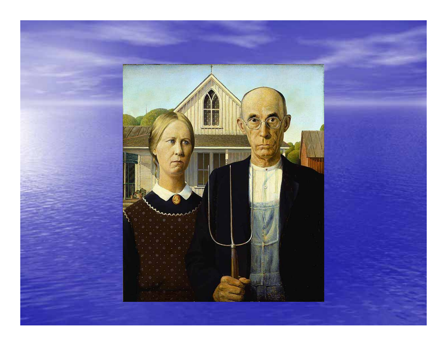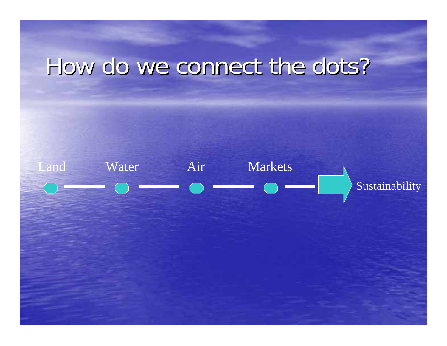#### How do we connect the dots?

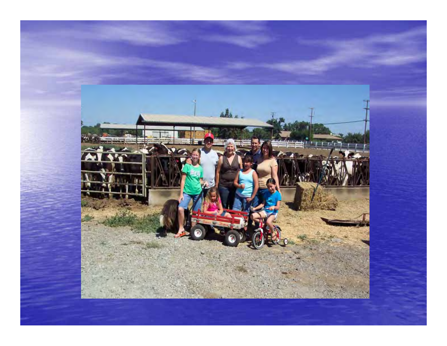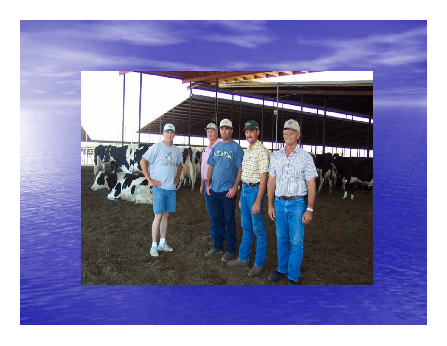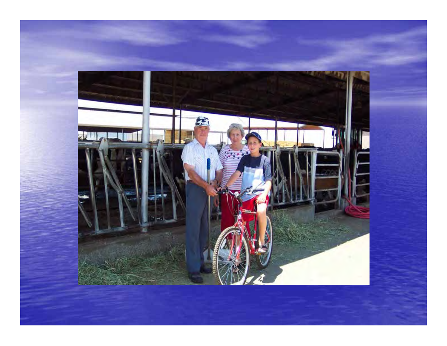